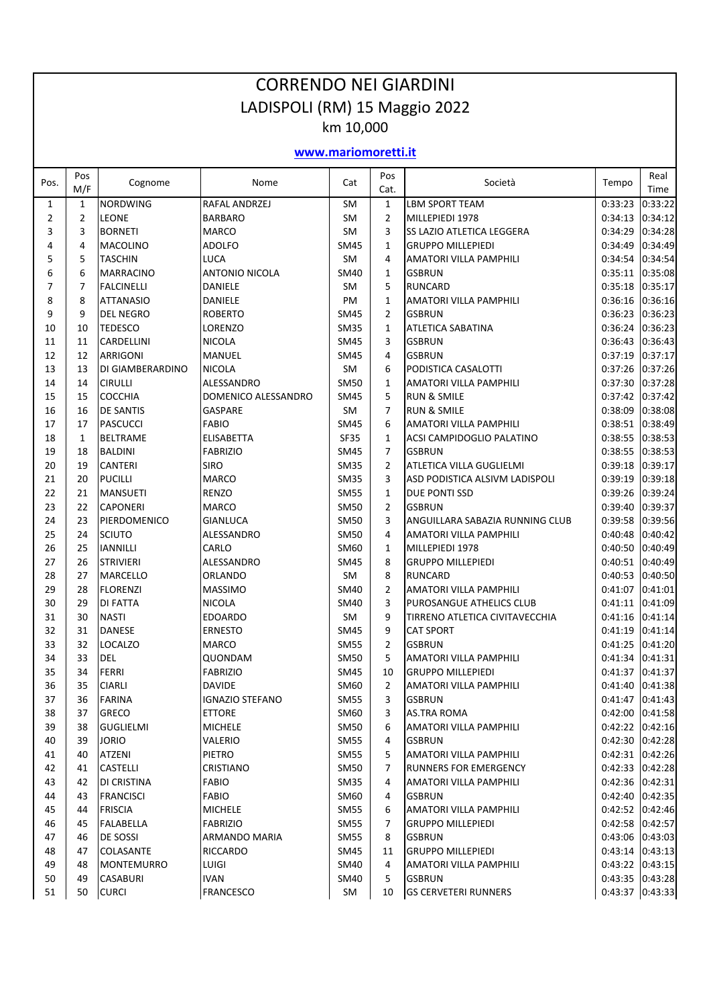|                |                |                                      | <b>CORRENDO NEI GIARDINI</b>    |                     |                                |                                                            |                                      |                    |
|----------------|----------------|--------------------------------------|---------------------------------|---------------------|--------------------------------|------------------------------------------------------------|--------------------------------------|--------------------|
|                |                |                                      | LADISPOLI (RM) 15 Maggio 2022   | km 10,000           |                                |                                                            |                                      |                    |
|                |                |                                      |                                 | www.mariomoretti.it |                                |                                                            |                                      |                    |
| Pos.           | Pos<br>M/F     | Cognome                              | Nome                            | Cat                 | Pos<br>Cat.                    | Società                                                    | Tempo                                | Real<br>Time       |
| $\mathbf{1}$   | $\mathbf{1}$   | <b>NORDWING</b>                      | <b>RAFAL ANDRZEJ</b>            | <b>SM</b>           | $\mathbf{1}$                   | <b>LBM SPORT TEAM</b>                                      | 0:33:23                              | 0:33:22            |
| $\overline{2}$ | 2              | <b>LEONE</b>                         | <b>BARBARO</b>                  | <b>SM</b>           | $\overline{2}$                 | MILLEPIEDI 1978                                            | 0:34:13                              | 0:34:12            |
| 3              | 3              | <b>BORNETI</b>                       | <b>MARCO</b>                    | <b>SM</b>           | 3                              | SS LAZIO ATLETICA LEGGERA                                  | 0:34:29                              | 0:34:28            |
| 4              | 4              | <b>MACOLINO</b>                      | <b>ADOLFO</b>                   | SM45                | $\mathbf{1}$                   | <b>GRUPPO MILLEPIEDI</b>                                   | 0:34:49                              | 0:34:49            |
| 5              | 5              | <b>TASCHIN</b>                       | LUCA                            | <b>SM</b>           | 4                              | AMATORI VILLA PAMPHILI                                     | 0:34:54                              | 0:34:54            |
| 6              | 6              | <b>MARRACINO</b>                     | <b>ANTONIO NICOLA</b>           | <b>SM40</b>         | $\mathbf{1}$                   | <b>GSBRUN</b>                                              | 0:35:11                              | 0:35:08            |
| $\overline{7}$ | $\overline{7}$ | <b>FALCINELLI</b>                    | <b>DANIELE</b>                  | <b>SM</b>           | 5                              | <b>RUNCARD</b>                                             | 0:35:18                              | 0:35:17            |
| 8<br>9         | 8<br>9         | <b>ATTANASIO</b><br><b>DEL NEGRO</b> | DANIELE<br><b>ROBERTO</b>       | PM<br><b>SM45</b>   | $\mathbf{1}$<br>$\overline{2}$ | AMATORI VILLA PAMPHILI<br><b>GSBRUN</b>                    | 0:36:16<br>0:36:23                   | 0:36:16<br>0:36:23 |
| 10             | 10             | <b>TEDESCO</b>                       | LORENZO                         | <b>SM35</b>         | $\mathbf{1}$                   | ATLETICA SABATINA                                          | 0:36:24                              | 0:36:23            |
| 11             | 11             | CARDELLINI                           | <b>NICOLA</b>                   | SM45                | 3                              | <b>GSBRUN</b>                                              | 0:36:43                              | 0:36:43            |
| 12             | 12             | <b>ARRIGONI</b>                      | <b>MANUEL</b>                   | SM45                | 4                              | <b>GSBRUN</b>                                              | 0:37:19                              | 0:37:17            |
| 13             | 13             | DI GIAMBERARDINO                     | <b>NICOLA</b>                   | SM                  | 6                              | PODISTICA CASALOTTI                                        | 0:37:26                              | 0:37:26            |
| 14             | 14             | <b>CIRULLI</b>                       | ALESSANDRO                      | <b>SM50</b>         | $\mathbf{1}$                   | AMATORI VILLA PAMPHILI                                     | 0:37:30                              | 0:37:28            |
| 15             | 15             | <b>COCCHIA</b>                       | DOMENICO ALESSANDRO             | <b>SM45</b>         | 5                              | <b>RUN &amp; SMILE</b>                                     | 0:37:42                              | 0:37:42            |
| 16             | 16             | <b>DE SANTIS</b>                     | <b>GASPARE</b>                  | SM                  | $\overline{7}$                 | <b>RUN &amp; SMILE</b>                                     | 0:38:09                              | 0:38:08            |
| 17             | 17             | PASCUCCI                             | <b>FABIO</b>                    | SM45                | 6                              | AMATORI VILLA PAMPHILI                                     | 0:38:51                              | 0:38:49            |
| 18             | $\mathbf{1}$   | <b>BELTRAME</b>                      | <b>ELISABETTA</b>               | <b>SF35</b>         | $\mathbf{1}$                   | <b>ACSI CAMPIDOGLIO PALATINO</b>                           | 0:38:55                              | 0:38:53            |
| 19             | 18             | <b>BALDINI</b>                       | <b>FABRIZIO</b>                 | <b>SM45</b>         | $\overline{7}$                 | <b>GSBRUN</b>                                              | 0:38:55                              | 0:38:53            |
| 20             | 19             | <b>CANTERI</b>                       | <b>SIRO</b>                     | <b>SM35</b>         | $\overline{2}$                 | ATLETICA VILLA GUGLIELMI                                   | 0:39:18                              | 0:39:17            |
| 21             | 20             | <b>PUCILLI</b>                       | <b>MARCO</b>                    | <b>SM35</b>         | 3                              | ASD PODISTICA ALSIVM LADISPOLI                             | 0:39:19                              | 0:39:18            |
| 22             | 21             | <b>MANSUETI</b>                      | <b>RENZO</b>                    | <b>SM55</b>         | $\mathbf{1}$                   | <b>DUE PONTI SSD</b>                                       | 0:39:26                              | 0:39:24            |
| 23             | 22             | <b>CAPONERI</b>                      | <b>MARCO</b>                    | <b>SM50</b>         | $\overline{2}$                 | <b>GSBRUN</b>                                              | 0:39:40                              | 0:39:37            |
| 24             | 23             | PIERDOMENICO                         | <b>GIANLUCA</b>                 | <b>SM50</b>         | 3                              | ANGUILLARA SABAZIA RUNNING CLUB                            | 0:39:58                              | 0:39:56            |
| 25             | 24             | <b>SCIUTO</b>                        | ALESSANDRO                      | <b>SM50</b>         | 4                              | AMATORI VILLA PAMPHILI                                     | 0:40:48                              | 0:40:42            |
| 26             | 25             | <b>IANNILLI</b>                      | CARLO                           | SM60                | $\mathbf{1}$                   | MILLEPIEDI 1978                                            | 0:40:50                              | 0:40:49            |
| 27             | 26             | <b>STRIVIERI</b>                     | ALESSANDRO                      | SM45                | 8                              | <b>GRUPPO MILLEPIEDI</b>                                   | 0:40:51                              | 0:40:49            |
| 28             | 27             | MARCELLO                             | <b>ORLANDO</b>                  | <b>SM</b>           | 8                              | <b>RUNCARD</b>                                             | 0:40:53                              | 0:40:50            |
| 29             | 28             | <b>FLORENZI</b>                      | <b>MASSIMO</b>                  | SM40                | $\overline{2}$                 | AMATORI VILLA PAMPHILI                                     | 0:41:07                              | 0:41:01            |
| 30<br>31       | 29<br>30       | <b>DI FATTA</b><br><b>NASTI</b>      | <b>NICOLA</b><br><b>EDOARDO</b> | SM40<br>SM          | 3<br>9                         | PUROSANGUE ATHELICS CLUB<br>TIRRENO ATLETICA CIVITAVECCHIA | 0:41:11 0:41:09<br>$0:41:16$ 0:41:14 |                    |
| 32             | 31             | <b>DANESE</b>                        | <b>ERNESTO</b>                  | SM45                | 9                              | <b>CAT SPORT</b>                                           | 0:41:19 0:41:14                      |                    |
| 33             | 32             | LOCALZO                              | <b>MARCO</b>                    | <b>SM55</b>         | $\overline{2}$                 | <b>GSBRUN</b>                                              | 0:41:25 0:41:20                      |                    |
| 34             | 33             | <b>DEL</b>                           | QUONDAM                         | SM50                | 5                              | AMATORI VILLA PAMPHILI                                     | 0:41:34 0:41:31                      |                    |
| 35             | 34             | <b>FERRI</b>                         | <b>FABRIZIO</b>                 | SM45                | 10                             | <b>GRUPPO MILLEPIEDI</b>                                   | 0:41:37 0:41:37                      |                    |
| 36             | 35             | <b>CIARLI</b>                        | <b>DAVIDE</b>                   | SM60                | $\overline{2}$                 | AMATORI VILLA PAMPHILI                                     | 0:41:40 0:41:38                      |                    |
| 37             | 36             | <b>FARINA</b>                        | <b>IGNAZIO STEFANO</b>          | SM55                | 3                              | <b>GSBRUN</b>                                              | 0:41:47 0:41:43                      |                    |
| 38             | 37             | <b>GRECO</b>                         | ETTORE                          | SM60                | 3                              | AS.TRA ROMA                                                | 0:42:00 0:41:58                      |                    |
| 39             | 38             | <b>GUGLIELMI</b>                     | <b>MICHELE</b>                  | SM50                | 6                              | AMATORI VILLA PAMPHILI                                     | $0:42:22$ 0:42:16                    |                    |
| 40             | 39             | <b>JORIO</b>                         | VALERIO                         | <b>SM55</b>         | 4                              | <b>GSBRUN</b>                                              | 0:42:30 0:42:28                      |                    |
| 41             | 40             | <b>ATZENI</b>                        | PIETRO                          | <b>SM55</b>         | 5                              | AMATORI VILLA PAMPHILI                                     | 0:42:31 0:42:26                      |                    |
| 42             | 41             | <b>CASTELLI</b>                      | <b>CRISTIANO</b>                | SM50                | 7                              | RUNNERS FOR EMERGENCY                                      | 0:42:33 0:42:28                      |                    |
| 43             | 42             | DI CRISTINA                          | <b>FABIO</b>                    | <b>SM35</b>         | 4                              | AMATORI VILLA PAMPHILI                                     | 0:42:36 0:42:31                      |                    |
| 44             | 43             | FRANCISCI                            | <b>FABIO</b>                    | SM60                | 4                              | <b>GSBRUN</b>                                              | 0:42:40 0:42:35                      |                    |
| 45             | 44             | <b>FRISCIA</b>                       | <b>MICHELE</b>                  | <b>SM55</b>         | 6                              | AMATORI VILLA PAMPHILI                                     | 0:42:52 0:42:46                      |                    |
| 46             | 45             | FALABELLA                            | <b>FABRIZIO</b>                 | <b>SM55</b>         | 7                              | <b>GRUPPO MILLEPIEDI</b>                                   | 0:42:58 0:42:57                      |                    |
| 47             | 46             | <b>DE SOSSI</b>                      | ARMANDO MARIA                   | <b>SM55</b>         | 8                              | <b>GSBRUN</b>                                              | 0:43:06 0:43:03                      |                    |
| 48             | 47             | <b>COLASANTE</b>                     | <b>RICCARDO</b>                 | SM45                | 11                             | <b>GRUPPO MILLEPIEDI</b>                                   | $0:43:14$ 0:43:13                    |                    |
| 49<br>50       | 48<br>49       | <b>MONTEMURRO</b>                    | <b>LUIGI</b><br><b>IVAN</b>     | SM40<br>SM40        | 4<br>5                         | AMATORI VILLA PAMPHILI<br><b>GSBRUN</b>                    | 0:43:22 0:43:15                      |                    |
| 51             |                | <b>CASABURI</b>                      |                                 | SM                  | 10                             | <b>GS CERVETERI RUNNERS</b>                                | 0:43:35 0:43:28<br>0:43:37 0:43:33   |                    |
|                | 50             | <b>CURCI</b>                         | <b>FRANCESCO</b>                |                     |                                |                                                            |                                      |                    |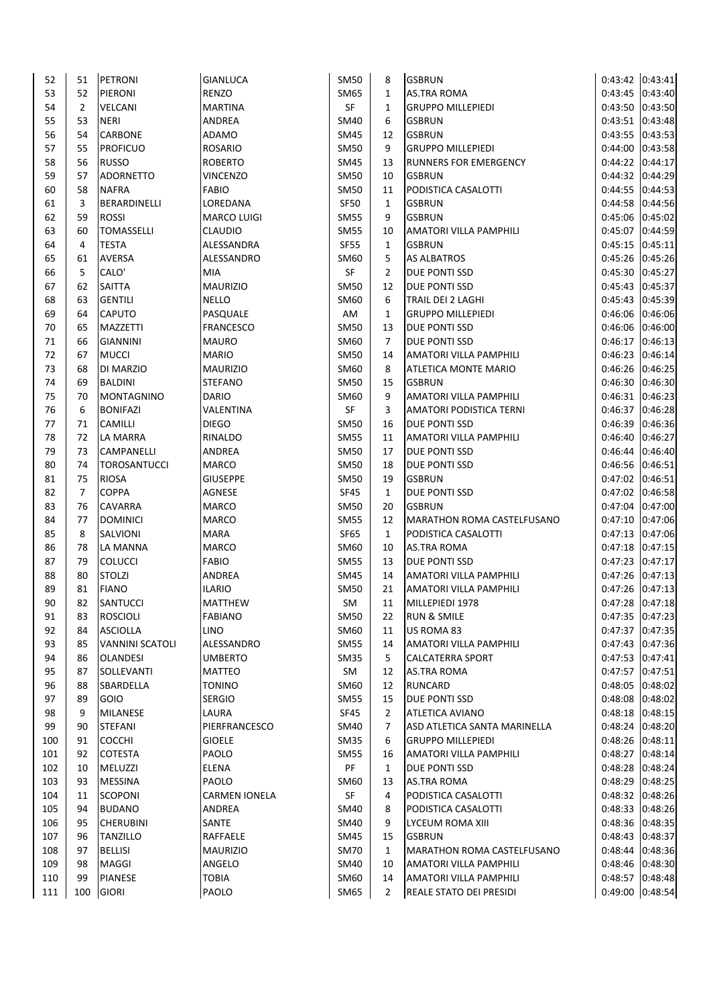| 52         | 51             | PETRONI                          | GIANLUCA                  | <b>SM50</b>                | 8              | <b>GSBRUN</b>                              | 0:43:42 0:43:41                    |                    |
|------------|----------------|----------------------------------|---------------------------|----------------------------|----------------|--------------------------------------------|------------------------------------|--------------------|
| 53         | 52             | <b>PIERONI</b>                   | <b>RENZO</b>              | SM65                       | $\mathbf{1}$   | <b>AS.TRA ROMA</b>                         | 0:43:45                            | 0:43:40            |
| 54         | $\overline{2}$ | VELCANI                          | <b>MARTINA</b>            | SF                         | 1              | <b>GRUPPO MILLEPIEDI</b>                   | 0:43:50                            | 0:43:50            |
| 55         | 53             | <b>NERI</b>                      | ANDREA                    | <b>SM40</b>                | 6              | <b>GSBRUN</b>                              | 0:43:51 0:43:48                    |                    |
| 56         | 54             | <b>CARBONE</b>                   | <b>ADAMO</b>              | SM45                       | 12             | <b>GSBRUN</b>                              | 0:43:55                            | 0:43:53            |
| 57         | 55             | <b>PROFICUO</b>                  | <b>ROSARIO</b>            | SM50                       | 9              | <b>GRUPPO MILLEPIEDI</b>                   | 0:44:00                            | 0:43:58            |
| 58         | 56             | <b>RUSSO</b>                     | <b>ROBERTO</b>            | SM45                       | 13             | <b>RUNNERS FOR EMERGENCY</b>               | 0:44:22                            | 0:44:17            |
| 59         | 57             | <b>ADORNETTO</b>                 | <b>VINCENZO</b>           | SM50                       | 10             | <b>GSBRUN</b>                              | 0:44:32                            | 0:44:29            |
| 60         | 58             | <b>NAFRA</b>                     | <b>FABIO</b>              | SM50                       | 11             | PODISTICA CASALOTTI                        | 0:44:55                            | 0:44:53            |
| 61         | 3              | BERARDINELLI                     | LOREDANA                  | SF50                       | $\mathbf{1}$   | <b>GSBRUN</b>                              | 0:44:58                            | 0:44:56            |
| 62         | 59             | ROSSI                            | <b>MARCO LUIGI</b>        | <b>SM55</b>                | 9              | <b>GSBRUN</b>                              | 0:45:06                            | 0:45:02            |
| 63         | 60             | TOMASSELLI                       | <b>CLAUDIO</b>            | SM55                       | 10             | <b>AMATORI VILLA PAMPHILI</b>              | 0:45:07                            | 0:44:59            |
| 64         | 4              | TESTA                            | ALESSANDRA                | <b>SF55</b>                | 1              | <b>GSBRUN</b>                              | 0:45:15                            | 0:45:11            |
| 65         | 61             | <b>AVERSA</b>                    | ALESSANDRO                | SM60                       | 5              | <b>AS ALBATROS</b>                         | 0:45:26                            | 0:45:26            |
| 66         | 5              | CALO'                            | MIA                       | SF                         | $\overline{2}$ | DUE PONTI SSD                              | 0:45:30                            | 0:45:27            |
| 67         | 62             | <b>SAITTA</b>                    | <b>MAURIZIO</b>           | SM50                       | 12             | DUE PONTI SSD                              | 0:45:43                            | 0:45:37            |
| 68         | 63             | <b>GENTILI</b>                   | NELLO                     | SM60                       | 6              | TRAIL DEI 2 LAGHI                          | 0:45:43                            | 0:45:39            |
| 69         | 64             | <b>CAPUTO</b>                    | PASQUALE                  | AM                         | $\mathbf{1}$   | <b>GRUPPO MILLEPIEDI</b>                   | 0:46:06                            | 0:46:06            |
| 70         | 65             | <b>MAZZETTI</b>                  | <b>FRANCESCO</b>          | SM50                       | 13             | DUE PONTI SSD                              | 0:46:06                            | 0:46:00            |
| 71         | 66             | <b>GIANNINI</b>                  | <b>MAURO</b>              | SM60                       | 7              | DUE PONTI SSD                              | 0:46:17                            | 0:46:13            |
| 72         | 67             | <b>MUCCI</b>                     | <b>MARIO</b>              | SM50                       | 14             | AMATORI VILLA PAMPHILI                     | 0:46:23                            | 0:46:14            |
| 73         | 68             | DI MARZIO                        | <b>MAURIZIO</b>           | SM60                       | 8              | ATLETICA MONTE MARIO                       | 0:46:26                            | 0:46:25            |
| 74         | 69             | <b>BALDINI</b>                   | <b>STEFANO</b>            | SM50                       | 15             | <b>GSBRUN</b>                              | 0:46:30                            | 0:46:30            |
| 75         | 70             | <b>MONTAGNINO</b>                | <b>DARIO</b>              | SM60                       | 9              | AMATORI VILLA PAMPHILI                     | 0:46:31                            | 0:46:23            |
| 76         | 6              | <b>BONIFAZI</b>                  | VALENTINA                 | SF                         | 3              | AMATORI PODISTICA TERNI                    | 0:46:37                            | 0:46:28            |
| 77         | 71             | <b>CAMILLI</b>                   | <b>DIEGO</b>              | <b>SM50</b>                | 16             | DUE PONTI SSD                              | 0:46:39                            | 0:46:36            |
| 78         | 72             | LA MARRA                         | RINALDO                   | <b>SM55</b>                | 11             | AMATORI VILLA PAMPHILI                     | 0:46:40                            | 0:46:27            |
| 79         | 73             | CAMPANELLI                       | ANDREA                    | SM50                       | 17             | DUE PONTI SSD                              | 0:46:44                            | 0:46:40            |
| 80         | 74             | <b>TOROSANTUCCI</b>              | <b>MARCO</b>              | SM50                       | 18             | DUE PONTI SSD                              | 0:46:56                            | 0:46:51            |
| 81         | 75             | <b>RIOSA</b>                     | <b>GIUSEPPE</b>           | SM50                       | 19             | <b>GSBRUN</b>                              | 0:47:02                            | 0:46:51            |
| 82         | $\overline{7}$ | <b>COPPA</b>                     | AGNESE                    | <b>SF45</b>                | $\mathbf{1}$   | DUE PONTI SSD                              | 0:47:02                            | 0:46:58            |
| 83         | 76             | <b>CAVARRA</b>                   | <b>MARCO</b>              | SM50                       | 20             | <b>GSBRUN</b>                              | 0:47:04                            | 0:47:00            |
| 84         | 77             | <b>DOMINICI</b>                  | <b>MARCO</b>              | <b>SM55</b>                | 12             | MARATHON ROMA CASTELFUSANO                 | 0:47:10                            | 0:47:06            |
| 85         | 8              | SALVIONI                         | <b>MARA</b>               | SF65                       | $\mathbf{1}$   | PODISTICA CASALOTTI                        | 0:47:13                            | 0:47:06            |
| 86         | 78             | LA MANNA                         | <b>MARCO</b>              | SM60                       | 10             | <b>AS.TRA ROMA</b>                         | 0:47:18                            | 0:47:15            |
| 87         | 79             | <b>COLUCCI</b>                   | <b>FABIO</b>              | <b>SM55</b>                | 13             | DUE PONTI SSD                              | 0:47:23                            | 0:47:17            |
| 88         | 80             | <b>STOLZI</b>                    | ANDREA                    | SM45                       | 14             | AMATORI VILLA PAMPHILI                     | 0:47:26                            | 0:47:13            |
| 89         | 81             | <b>FIANO</b>                     | <b>ILARIO</b>             | SM50                       | 21             | AMATORI VILLA PAMPHILI                     | 0:47:26                            | 0:47:13            |
| 90         | 82             | SANTUCCI                         | <b>MATTHEW</b>            | SM                         | 11             | MILLEPIEDI 1978                            | 0:47:28 0:47:18                    |                    |
| 91         | 83             | <b>ROSCIOLI</b>                  | <b>FABIANO</b>            | <b>SM50</b>                | 22             | <b>RUN &amp; SMILE</b>                     | 0:47:35 0:47:23                    |                    |
| 92         | 84             | <b>ASCIOLLA</b>                  | LINO                      | SM60                       | 11             | US ROMA 83                                 | 0:47:37 0:47:35                    |                    |
| 93         | 85             | <b>VANNINI SCATOLI</b>           | ALESSANDRO                |                            | 14             | AMATORI VILLA PAMPHILI                     | 0:47:43                            | 0:47:36            |
| 94         |                | <b>OLANDESI</b>                  | <b>UMBERTO</b>            | <b>SM55</b><br><b>SM35</b> | 5              | <b>CALCATERRA SPORT</b>                    | 0:47:53 0:47:41                    |                    |
| 95         | 86<br>87       | SOLLEVANTI                       | MATTEO                    | SM                         | 12             | AS.TRA ROMA                                | 0:47:57 0:47:51                    |                    |
| 96         | 88             | <b>SBARDELLA</b>                 | <b>TONINO</b>             | SM60                       | 12             | <b>RUNCARD</b>                             | 0:48:05 0:48:02                    |                    |
| 97         | 89             | GOIO                             | <b>SERGIO</b>             | <b>SM55</b>                | 15             | DUE PONTI SSD                              | 0:48:08                            | 0:48:02            |
| 98         | 9              | <b>MILANESE</b>                  | LAURA                     | SF45                       | 2              | ATLETICA AVIANO                            | 0:48:18 0:48:15                    |                    |
| 99         | 90             | <b>STEFANI</b>                   | PIERFRANCESCO             | SM40                       | 7              | ASD ATLETICA SANTA MARINELLA               | 0:48:24 0:48:20                    |                    |
| 100        | 91             | <b>COCCHI</b>                    | <b>GIOELE</b>             | <b>SM35</b>                | 6              | <b>GRUPPO MILLEPIEDI</b>                   | 0:48:26                            |                    |
| 101        | 92             | <b>COTESTA</b>                   | PAOLO                     | <b>SM55</b>                | 16             | AMATORI VILLA PAMPHILI                     | 0:48:27                            | 0:48:11<br>0:48:14 |
| 102        |                |                                  |                           | PF                         |                | DUE PONTI SSD                              |                                    |                    |
| 103        | 10<br>93       | <b>MELUZZI</b><br><b>MESSINA</b> | ELENA<br>PAOLO            | SM60                       | 1<br>13        | <b>AS.TRA ROMA</b>                         | 0:48:28 0:48:24<br>0:48:29 0:48:25 |                    |
|            |                |                                  |                           | SF                         | 4              |                                            |                                    |                    |
| 104<br>105 | 11<br>94       | <b>SCOPONI</b><br><b>BUDANO</b>  | <b>CARMEN IONELA</b>      | SM40                       |                | PODISTICA CASALOTTI<br>PODISTICA CASALOTTI | 0:48:32 0:48:26<br>0:48:33 0:48:26 |                    |
| 106        | 95             | <b>CHERUBINI</b>                 | ANDREA<br>SANTE           | SM40                       | 8<br>9         | LYCEUM ROMA XIII                           | 0:48:36 0:48:35                    |                    |
| 107        | 96             | <b>TANZILLO</b>                  | RAFFAELE                  | SM45                       | 15             | <b>GSBRUN</b>                              | 0:48:43 0:48:37                    |                    |
| 108        | 97             |                                  |                           | <b>SM70</b>                | $\mathbf{1}$   | MARATHON ROMA CASTELFUSANO                 | 0:48:44 0:48:36                    |                    |
| 109        | 98             | <b>BELLISI</b><br><b>MAGGI</b>   | <b>MAURIZIO</b><br>ANGELO | SM40                       | 10             | AMATORI VILLA PAMPHILI                     | 0:48:46 0:48:30                    |                    |
| 110        | 99             | <b>PIANESE</b>                   | <b>TOBIA</b>              | SM60                       | 14             | <b>AMATORI VILLA PAMPHILI</b>              | 0:48:57 0:48:48                    |                    |
| 111        | 100            | <b>GIORI</b>                     | PAOLO                     | SM65                       | $\overline{2}$ | <b>REALE STATO DEI PRESIDI</b>             | 0:49:00 0:48:54                    |                    |
|            |                |                                  |                           |                            |                |                                            |                                    |                    |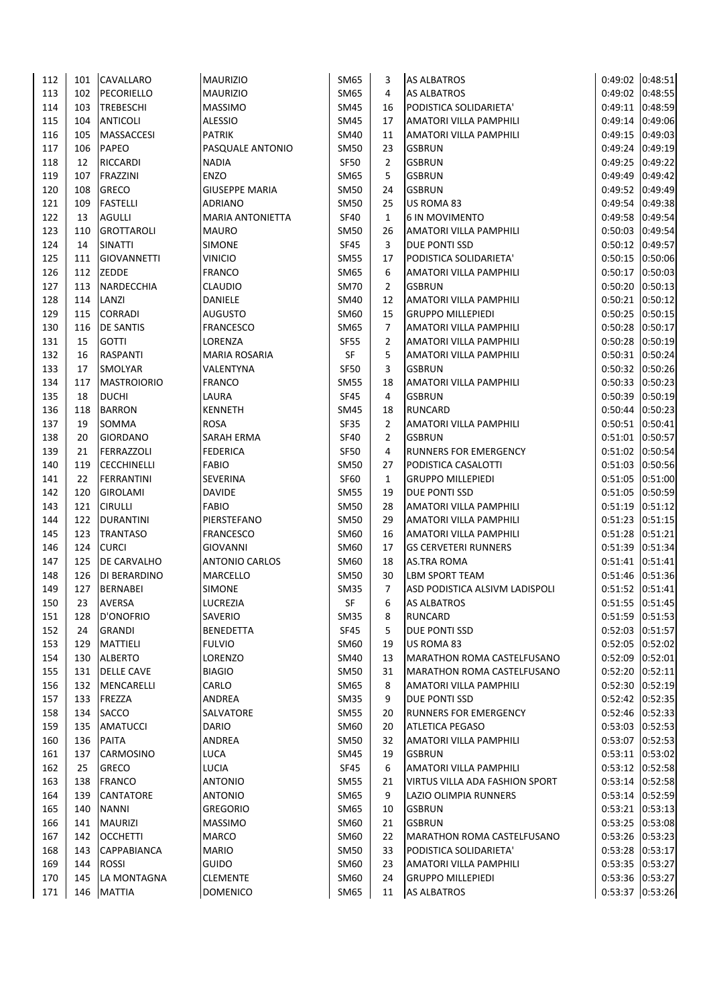| 112 | 101 | CAVALLARO          | <b>MAURIZIO</b>         | SM65        | 3              | AS ALBATROS                           | 0:49:02 0:48:51 |         |
|-----|-----|--------------------|-------------------------|-------------|----------------|---------------------------------------|-----------------|---------|
| 113 | 102 | PECORIELLO         | <b>MAURIZIO</b>         | SM65        | 4              | <b>AS ALBATROS</b>                    | 0:49:02 0:48:55 |         |
| 114 | 103 | <b>TREBESCHI</b>   | <b>MASSIMO</b>          | <b>SM45</b> | 16             | PODISTICA SOLIDARIETA'                | 0:49:11         | 0:48:59 |
| 115 | 104 | <b>ANTICOLI</b>    | <b>ALESSIO</b>          | SM45        | 17             | <b>AMATORI VILLA PAMPHILI</b>         | 0:49:14         | 0:49:06 |
| 116 | 105 | <b>MASSACCESI</b>  | <b>PATRIK</b>           | SM40        | 11             | AMATORI VILLA PAMPHILI                | 0:49:15         | 0:49:03 |
| 117 | 106 | <b>PAPEO</b>       | PASQUALE ANTONIO        | <b>SM50</b> | 23             | <b>GSBRUN</b>                         | 0:49:24         | 0:49:19 |
| 118 | 12  | <b>RICCARDI</b>    | <b>NADIA</b>            | SF50        | $\overline{2}$ | <b>GSBRUN</b>                         | 0:49:25         | 0:49:22 |
| 119 | 107 | FRAZZINI           | <b>ENZO</b>             | SM65        | 5              | <b>GSBRUN</b>                         | 0:49:49         | 0:49:42 |
| 120 | 108 | <b>GRECO</b>       | <b>GIUSEPPE MARIA</b>   | <b>SM50</b> | 24             | <b>GSBRUN</b>                         | 0:49:52         | 0:49:49 |
| 121 | 109 | <b>FASTELLI</b>    | <b>ADRIANO</b>          | <b>SM50</b> | 25             | US ROMA 83                            | 0:49:54         | 0:49:38 |
| 122 | 13  | <b>AGULLI</b>      | <b>MARIA ANTONIETTA</b> | <b>SF40</b> | 1              | <b>6 IN MOVIMENTO</b>                 | 0:49:58         | 0:49:54 |
| 123 | 110 | <b>GROTTAROLI</b>  | <b>MAURO</b>            | SM50        | 26             | <b>AMATORI VILLA PAMPHILI</b>         | 0:50:03         | 0:49:54 |
| 124 | 14  | <b>SINATTI</b>     | <b>SIMONE</b>           | <b>SF45</b> | 3              | <b>DUE PONTI SSD</b>                  | 0:50:12         | 0:49:57 |
| 125 | 111 | <b>GIOVANNETTI</b> | <b>VINICIO</b>          | <b>SM55</b> | 17             | PODISTICA SOLIDARIETA'                | 0:50:15         | 0:50:06 |
| 126 | 112 | <b>ZEDDE</b>       | <b>FRANCO</b>           | SM65        | 6              | AMATORI VILLA PAMPHILI                | 0:50:17         | 0:50:03 |
| 127 | 113 | NARDECCHIA         | <b>CLAUDIO</b>          | <b>SM70</b> | $\overline{2}$ | <b>GSBRUN</b>                         | 0:50:20         | 0:50:13 |
| 128 | 114 | LANZI              | DANIELE                 | SM40        | 12             | AMATORI VILLA PAMPHILI                | 0:50:21         | 0:50:12 |
| 129 | 115 | <b>CORRADI</b>     | AUGUSTO                 | SM60        | 15             | <b>GRUPPO MILLEPIEDI</b>              | 0:50:25         | 0:50:15 |
| 130 | 116 | <b>DE SANTIS</b>   | <b>FRANCESCO</b>        | SM65        | $\overline{7}$ | AMATORI VILLA PAMPHILI                | 0:50:28 0:50:17 |         |
| 131 | 15  | <b>GOTTI</b>       | LORENZA                 | <b>SF55</b> | 2              | <b>AMATORI VILLA PAMPHILI</b>         | 0:50:28         | 0:50:19 |
| 132 | 16  | <b>RASPANTI</b>    | <b>MARIA ROSARIA</b>    | SF          | 5              | <b>AMATORI VILLA PAMPHILI</b>         | 0:50:31         | 0:50:24 |
| 133 | 17  | <b>SMOLYAR</b>     | VALENTYNA               | SF50        | 3              | <b>GSBRUN</b>                         | 0:50:32         | 0:50:26 |
| 134 | 117 | <b>MASTROIORIO</b> | <b>FRANCO</b>           | <b>SM55</b> | 18             | <b>AMATORI VILLA PAMPHILI</b>         | 0:50:33         | 0:50:23 |
| 135 | 18  | <b>DUCHI</b>       | LAURA                   | <b>SF45</b> | 4              | <b>GSBRUN</b>                         | 0:50:39         | 0:50:19 |
| 136 | 118 | <b>BARRON</b>      | <b>KENNETH</b>          | <b>SM45</b> | 18             | RUNCARD                               | 0:50:44         | 0:50:23 |
| 137 | 19  | SOMMA              | <b>ROSA</b>             | SF35        | 2              | <b>AMATORI VILLA PAMPHILI</b>         | 0:50:51         | 0:50:41 |
| 138 | 20  | <b>GIORDANO</b>    | SARAH ERMA              | <b>SF40</b> | $\overline{2}$ | <b>GSBRUN</b>                         | 0:51:01 0:50:57 |         |
| 139 | 21  | FERRAZZOLI         | <b>FEDERICA</b>         | SF50        | 4              | RUNNERS FOR EMERGENCY                 | 0:51:02         | 0:50:54 |
| 140 | 119 | <b>CECCHINELLI</b> | <b>FABIO</b>            | <b>SM50</b> | 27             | PODISTICA CASALOTTI                   | 0:51:03 0:50:56 |         |
| 141 | 22  | <b>FERRANTINI</b>  | <b>SEVERINA</b>         | <b>SF60</b> | 1              | <b>GRUPPO MILLEPIEDI</b>              | 0:51:05         | 0:51:00 |
| 142 | 120 | <b>GIROLAMI</b>    | <b>DAVIDE</b>           | <b>SM55</b> | 19             | <b>DUE PONTI SSD</b>                  | 0:51:05         | 0:50:59 |
| 143 | 121 | <b>CIRULLI</b>     | <b>FABIO</b>            | <b>SM50</b> | 28             | AMATORI VILLA PAMPHILI                | 0:51:19         | 0:51:12 |
| 144 | 122 | <b>DURANTINI</b>   | PIERSTEFANO             | <b>SM50</b> | 29             | <b>AMATORI VILLA PAMPHILI</b>         | 0:51:23         | 0:51:15 |
| 145 | 123 | <b>TRANTASO</b>    | <b>FRANCESCO</b>        | SM60        | 16             | AMATORI VILLA PAMPHILI                | 0:51:28         | 0:51:21 |
| 146 | 124 | <b>CURCI</b>       | <b>GIOVANNI</b>         | SM60        | 17             | <b>GS CERVETERI RUNNERS</b>           | 0:51:39         | 0:51:34 |
| 147 | 125 | DE CARVALHO        | <b>ANTONIO CARLOS</b>   | SM60        | 18             | <b>AS.TRA ROMA</b>                    | 0:51:41 0:51:41 |         |
| 148 | 126 | DI BERARDINO       | MARCELLO                | SM50        | 30             | LBM SPORT TEAM                        | 0:51:46 0:51:36 |         |
| 149 | 127 | <b>BERNABEI</b>    | SIMONE                  | <b>SM35</b> | 7              | ASD PODISTICA ALSIVM LADISPOLI        | 0:51:52 0:51:41 |         |
| 150 | 23  | <b>AVERSA</b>      | LUCREZIA                | SF          | 6              | <b>AS ALBATROS</b>                    | 0:51:55 0:51:45 |         |
| 151 | 128 | D'ONOFRIO          | SAVERIO                 | <b>SM35</b> | 8              | <b>RUNCARD</b>                        | 0:51:59 0:51:53 |         |
| 152 | 24  | <b>GRANDI</b>      | <b>BENEDETTA</b>        | <b>SF45</b> | 5              | <b>DUE PONTI SSD</b>                  | 0:52:03 0:51:57 |         |
| 153 | 129 | <b>MATTIELI</b>    | <b>FULVIO</b>           | SM60        | 19             | US ROMA 83                            | 0:52:05 0:52:02 |         |
| 154 | 130 | <b>ALBERTO</b>     | LORENZO                 | <b>SM40</b> |                | MARATHON ROMA CASTELFUSANO            | 0:52:09 0:52:01 |         |
| 155 | 131 | <b>DELLE CAVE</b>  | <b>BIAGIO</b>           | <b>SM50</b> | 13<br>31       |                                       |                 |         |
|     |     |                    | CARLO                   |             |                | MARATHON ROMA CASTELFUSANO            | 0:52:20 0:52:11 |         |
| 156 | 132 | MENCARELLI         |                         | SM65        | 8              | AMATORI VILLA PAMPHILI                | 0:52:30 0:52:19 |         |
| 157 | 133 | FREZZA             | ANDREA                  | <b>SM35</b> | 9              | <b>DUE PONTI SSD</b>                  | 0:52:42 0:52:35 |         |
| 158 | 134 | <b>SACCO</b>       | SALVATORE               | <b>SM55</b> | 20             | <b>RUNNERS FOR EMERGENCY</b>          | 0:52:46 0:52:33 |         |
| 159 | 135 | <b>AMATUCCI</b>    | <b>DARIO</b>            | SM60        | 20             | <b>ATLETICA PEGASO</b>                | 0:53:03 0:52:53 |         |
| 160 | 136 | PAITA              | ANDREA                  | <b>SM50</b> | 32             | <b>AMATORI VILLA PAMPHILI</b>         | 0:53:07 0:52:53 |         |
| 161 | 137 | CARMOSINO          | LUCA                    | SM45        | 19             | <b>GSBRUN</b>                         | 0:53:11 0:53:02 |         |
| 162 | 25  | GRECO              | LUCIA                   | SF45        | 6              | AMATORI VILLA PAMPHILI                | 0:53:12 0:52:58 |         |
| 163 | 138 | <b>FRANCO</b>      | <b>ANTONIO</b>          | <b>SM55</b> | 21             | <b>VIRTUS VILLA ADA FASHION SPORT</b> | 0:53:14 0:52:58 |         |
| 164 | 139 | <b>CANTATORE</b>   | ANTONIO                 | SM65        | 9              | LAZIO OLIMPIA RUNNERS                 | 0:53:14 0:52:59 |         |
| 165 | 140 | <b>NANNI</b>       | <b>GREGORIO</b>         | SM65        | 10             | <b>GSBRUN</b>                         | 0:53:21 0:53:13 |         |
| 166 | 141 | <b>MAURIZI</b>     | <b>MASSIMO</b>          | SM60        | 21             | <b>GSBRUN</b>                         | 0:53:25 0:53:08 |         |
| 167 | 142 | <b>OCCHETTI</b>    | <b>MARCO</b>            | SM60        | 22             | MARATHON ROMA CASTELFUSANO            | 0:53:26 0:53:23 |         |
| 168 | 143 | <b>CAPPABIANCA</b> | <b>MARIO</b>            | <b>SM50</b> | 33             | PODISTICA SOLIDARIETA'                | 0:53:28 0:53:17 |         |
| 169 | 144 | ROSSI              | <b>GUIDO</b>            | SM60        | 23             | <b>AMATORI VILLA PAMPHILI</b>         | 0:53:35 0:53:27 |         |
| 170 | 145 | LA MONTAGNA        | <b>CLEMENTE</b>         | SM60        | 24             | <b>GRUPPO MILLEPIEDI</b>              | 0:53:36 0:53:27 |         |
| 171 | 146 | <b>MATTIA</b>      | <b>DOMENICO</b>         | SM65        | 11             | <b>AS ALBATROS</b>                    | 0:53:37 0:53:26 |         |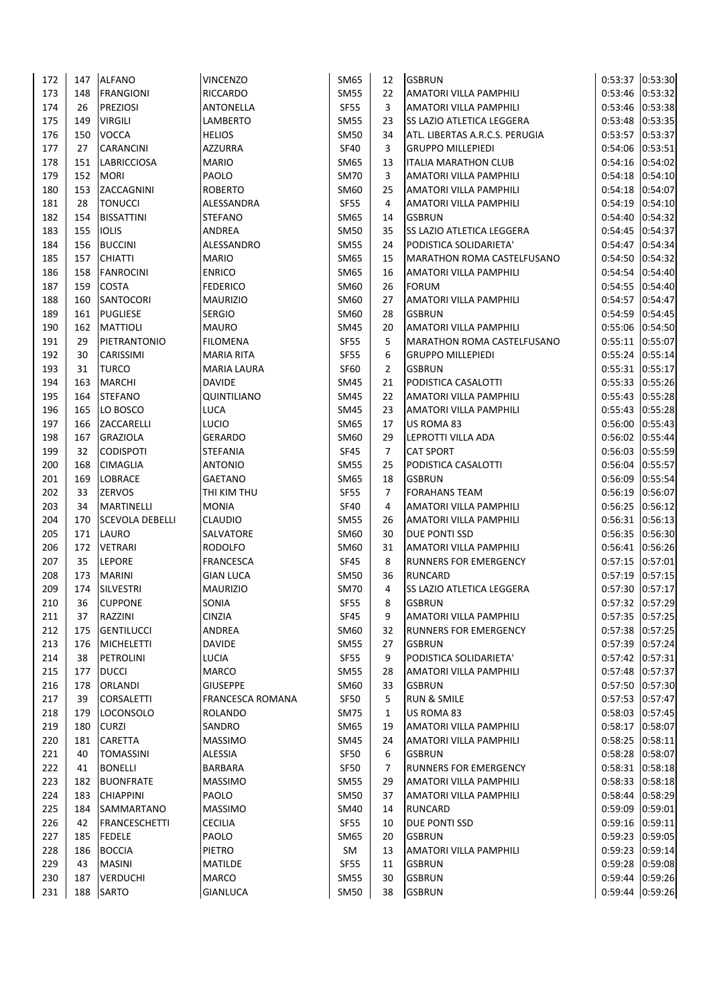| 172        | 147       | <b>ALFANO</b>                    | <b>VINCENZO</b>          | SM65                | 12             | <b>GSBRUN</b>                                    |                            | 0:53:37 0:53:30 |
|------------|-----------|----------------------------------|--------------------------|---------------------|----------------|--------------------------------------------------|----------------------------|-----------------|
| 173        | 148       | <b>FRANGIONI</b>                 | <b>RICCARDO</b>          | <b>SM55</b>         | 22             | <b>AMATORI VILLA PAMPHILI</b>                    | 0:53:46                    | 0:53:32         |
| 174        | 26        | <b>PREZIOSI</b>                  | ANTONELLA                | SF55                | 3              | AMATORI VILLA PAMPHILI                           | 0:53:46                    | 0:53:38         |
| 175        | 149       | <b>VIRGILI</b>                   | LAMBERTO                 | <b>SM55</b>         | 23             | <b>SS LAZIO ATLETICA LEGGERA</b>                 | 0:53:48                    | 0:53:35         |
| 176        | 150       | <b>VOCCA</b>                     | <b>HELIOS</b>            | <b>SM50</b>         | 34             | ATL. LIBERTAS A.R.C.S. PERUGIA                   | 0:53:57                    | 0:53:37         |
| 177        | 27        | <b>CARANCINI</b>                 | <b>AZZURRA</b>           | <b>SF40</b>         | 3              | <b>GRUPPO MILLEPIEDI</b>                         | 0:54:06                    | 0:53:51         |
| 178        | 151       | <b>LABRICCIOSA</b>               | <b>MARIO</b>             | SM65                | 13             | <b>ITALIA MARATHON CLUB</b>                      | 0:54:16                    | 0:54:02         |
| 179        | 152       | <b>MORI</b>                      | PAOLO                    | <b>SM70</b>         | 3              | AMATORI VILLA PAMPHILI                           | 0:54:18                    | 0:54:10         |
| 180        | 153       | ZACCAGNINI                       | <b>ROBERTO</b>           | SM60                | 25             | AMATORI VILLA PAMPHILI                           | 0:54:18                    | 0:54:07         |
| 181        | 28        | <b>TONUCCI</b>                   | ALESSANDRA               | <b>SF55</b>         | 4              | AMATORI VILLA PAMPHILI                           | 0:54:19                    | 0:54:10         |
| 182        | 154       | <b>BISSATTINI</b>                | <b>STEFANO</b>           | SM65                | 14             | <b>GSBRUN</b>                                    | 0:54:40                    | 0:54:32         |
| 183        | 155       | <b>IOLIS</b>                     | ANDREA                   | SM50                | 35             | SS LAZIO ATLETICA LEGGERA                        | 0:54:45                    | 0:54:37         |
| 184        | 156       | <b>BUCCINI</b>                   | ALESSANDRO               | SM55                | 24             | PODISTICA SOLIDARIETA'                           | 0:54:47                    | 0:54:34         |
| 185        | 157       | <b>CHIATTI</b>                   | <b>MARIO</b>             | SM65                | 15             | MARATHON ROMA CASTELFUSANO                       | 0:54:50                    | 0:54:32         |
| 186        | 158       | <b>FANROCINI</b>                 | <b>ENRICO</b>            | SM65                | 16             | AMATORI VILLA PAMPHILI                           | 0:54:54                    | 0:54:40         |
| 187        | 159       | <b>COSTA</b>                     | <b>FEDERICO</b>          | SM60                | 26             | <b>FORUM</b>                                     | 0:54:55                    | 0:54:40         |
| 188        | 160       | <b>SANTOCORI</b>                 | <b>MAURIZIO</b>          | SM60                | 27             | AMATORI VILLA PAMPHILI                           | 0:54:57                    | 0:54:47         |
| 189        | 161       | <b>PUGLIESE</b>                  | <b>SERGIO</b>            | SM60                | 28             | <b>GSBRUN</b>                                    | 0:54:59                    | 0:54:45         |
| 190        | 162       | <b>MATTIOLI</b>                  | <b>MAURO</b>             | SM45                | 20             | <b>AMATORI VILLA PAMPHILI</b>                    | 0:55:06                    | 0:54:50         |
| 191        | 29        | PIETRANTONIO                     | <b>FILOMENA</b>          | <b>SF55</b>         | 5              | <b>MARATHON ROMA CASTELFUSANO</b>                | 0:55:11                    | 0:55:07         |
| 192        | 30        | CARISSIMI                        | <b>MARIA RITA</b>        | <b>SF55</b>         | 6              | <b>GRUPPO MILLEPIEDI</b>                         | 0:55:24                    | 0:55:14         |
| 193        | 31        | <b>TURCO</b>                     | <b>MARIA LAURA</b>       | SF60                | $\overline{2}$ | <b>GSBRUN</b>                                    | 0:55:31                    | 0:55:17         |
| 194        | 163       | <b>MARCHI</b>                    | <b>DAVIDE</b>            | SM45                | 21             | PODISTICA CASALOTTI                              | 0:55:33 0:55:26            |                 |
| 195        | 164       | <b>STEFANO</b>                   | QUINTILIANO              | SM45                | 22             | <b>AMATORI VILLA PAMPHILI</b>                    | 0:55:43                    | 0:55:28         |
| 196        | 165       | LO BOSCO                         | LUCA                     | SM45                | 23             | <b>AMATORI VILLA PAMPHILI</b>                    | 0:55:43                    | 0:55:28         |
| 197        | 166       | ZACCARELLI                       | LUCIO                    | SM65                | 17             | US ROMA 83                                       | 0:56:00                    | 0:55:43         |
| 198        | 167       | <b>GRAZIOLA</b>                  | <b>GERARDO</b>           | SM60                | 29             | LEPROTTI VILLA ADA                               | 0:56:02                    | 0:55:44         |
| 199        | 32        | <b>CODISPOTI</b>                 | <b>STEFANIA</b>          | SF45                | $\overline{7}$ | <b>CAT SPORT</b>                                 | 0:56:03                    | 0:55:59         |
| 200        | 168       | <b>CIMAGLIA</b>                  | ANTONIO                  | <b>SM55</b>         | 25             | PODISTICA CASALOTTI                              | 0:56:04                    | 0:55:57         |
| 201        | 169       | <b>LOBRACE</b>                   | GAETANO                  | SM65                | 18             | <b>GSBRUN</b>                                    | 0:56:09                    | 0:55:54         |
| 202        | 33        | <b>ZERVOS</b>                    | THI KIM THU              | <b>SF55</b>         | 7              | <b>FORAHANS TEAM</b>                             | 0:56:19                    | 0:56:07         |
| 203        | 34        | <b>MARTINELLI</b>                | <b>MONIA</b>             | <b>SF40</b>         | 4              | <b>AMATORI VILLA PAMPHILI</b>                    | 0:56:25                    | 0:56:12         |
| 204        | 170       | <b>SCEVOLA DEBELLI</b>           | <b>CLAUDIO</b>           | <b>SM55</b>         | 26             | AMATORI VILLA PAMPHILI                           | 0:56:31                    | 0:56:13         |
| 205        | 171       | <b>LAURO</b>                     | SALVATORE                | SM60                | 30             | DUE PONTI SSD                                    | 0:56:35                    | 0:56:30         |
| 206        | 172       | <b>VETRARI</b>                   | <b>RODOLFO</b>           | SM60                | 31             | <b>AMATORI VILLA PAMPHILI</b>                    | 0:56:41                    | 0:56:26         |
| 207        | 35        | <b>LEPORE</b>                    | <b>FRANCESCA</b>         | <b>SF45</b>         | 8              | <b>RUNNERS FOR EMERGENCY</b>                     | 0:57:15                    | 0:57:01         |
| 208        | 173       | <b>MARINI</b>                    | <b>GIAN LUCA</b>         | <b>SM50</b>         | 36             | <b>RUNCARD</b>                                   | 0:57:19                    | 0:57:15         |
| 209        | 174       | <b>SILVESTRI</b>                 | <b>MAURIZIO</b>          | <b>SM70</b>         | 4              | SS LAZIO ATLETICA LEGGERA                        | 0:57:30                    | 0:57:17         |
| 210        | 36        | <b>CUPPONE</b>                   | SONIA                    | <b>SF55</b>         | 8              | <b>GSBRUN</b><br><b>AMATORI VILLA PAMPHILI</b>   | 0:57:32 0:57:29            | 0:57:35 0:57:25 |
| 211        | 37        | RAZZINI                          | CINZIA                   | <b>SF45</b>         | 9              | <b>RUNNERS FOR EMERGENCY</b>                     |                            |                 |
| 212        | 175       | <b>GENTILUCCI</b>                | ANDREA                   | SM60                | 32             | <b>GSBRUN</b>                                    | 0:57:38                    | 0:57:25         |
| 213        | 176       | <b>MICHELETTI</b><br>PETROLINI   | <b>DAVIDE</b>            | <b>SM55</b>         | 27<br>9        |                                                  | 0:57:39                    | 0:57:24         |
| 214<br>215 | 38<br>177 | <b>DUCCI</b>                     | LUCIA                    | SF55<br><b>SM55</b> | 28             | PODISTICA SOLIDARIETA'<br>AMATORI VILLA PAMPHILI | 0:57:42 0:57:31<br>0:57:48 | 0:57:37         |
| 216        | 178       | ORLANDI                          | MARCO<br><b>GIUSEPPE</b> | SM60                | 33             | <b>GSBRUN</b>                                    | 0:57:50                    | 0:57:30         |
| 217        | 39        |                                  | FRANCESCA ROMANA         | SF50                | 5              | <b>RUN &amp; SMILE</b>                           | 0:57:53 0:57:47            |                 |
| 218        | 179       | CORSALETTI                       | <b>ROLANDO</b>           | <b>SM75</b>         | 1              | US ROMA 83                                       | 0:58:03 0:57:45            |                 |
| 219        | 180       | <b>LOCONSOLO</b><br><b>CURZI</b> | SANDRO                   | SM65                | 19             | AMATORI VILLA PAMPHILI                           | 0:58:17 0:58:07            |                 |
| 220        | 181       | CARETTA                          | <b>MASSIMO</b>           | SM45                | 24             | AMATORI VILLA PAMPHILI                           | 0:58:25                    | 0:58:11         |
| 221        | 40        | <b>TOMASSINI</b>                 | <b>ALESSIA</b>           | SF50                | 6              | <b>GSBRUN</b>                                    | 0:58:28                    | 0:58:07         |
| 222        | 41        | <b>BONELLI</b>                   | BARBARA                  | SF50                | 7              | RUNNERS FOR EMERGENCY                            | 0:58:31 0:58:18            |                 |
| 223        | 182       | <b>BUONFRATE</b>                 | <b>MASSIMO</b>           | <b>SM55</b>         | 29             | AMATORI VILLA PAMPHILI                           | 0:58:33 0:58:18            |                 |
| 224        | 183       | <b>CHIAPPINI</b>                 | PAOLO                    | <b>SM50</b>         | 37             | AMATORI VILLA PAMPHILI                           | 0:58:44 0:58:29            |                 |
| 225        | 184       | SAMMARTANO                       | <b>MASSIMO</b>           | SM40                | 14             | <b>RUNCARD</b>                                   | 0:59:09                    | 0:59:01         |
| 226        | 42        | <b>FRANCESCHETTI</b>             | <b>CECILIA</b>           | SF55                | 10             | DUE PONTI SSD                                    | 0:59:16 0:59:11            |                 |
| 227        | 185       | <b>FEDELE</b>                    | PAOLO                    | SM65                | 20             | <b>GSBRUN</b>                                    | 0:59:23 0:59:05            |                 |
| 228        | 186       | <b>BOCCIA</b>                    | PIETRO                   | SM                  | 13             | AMATORI VILLA PAMPHILI                           | 0:59:23 0:59:14            |                 |
| 229        | 43        | <b>MASINI</b>                    | <b>MATILDE</b>           | <b>SF55</b>         | 11             | <b>GSBRUN</b>                                    | 0:59:28 0:59:08            |                 |
| 230        | 187       | <b>VERDUCHI</b>                  | MARCO                    | <b>SM55</b>         | 30             | <b>GSBRUN</b>                                    |                            | 0:59:44 0:59:26 |
| 231        | 188       | <b>SARTO</b>                     | <b>GIANLUCA</b>          | SM50                | 38             | <b>GSBRUN</b>                                    | 0:59:44 0:59:26            |                 |
|            |           |                                  |                          |                     |                |                                                  |                            |                 |